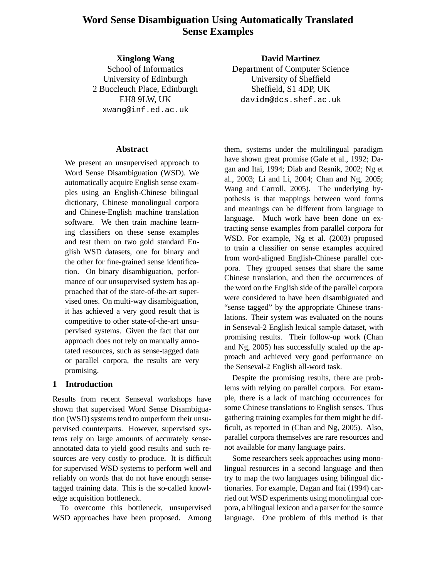# **Word Sense Disambiguation Using Automatically Translated Sense Examples**

**Xinglong Wang** School of Informatics University of Edinburgh 2 Buccleuch Place, Edinburgh EH8 9LW, UK xwang@inf.ed.ac.uk

# **Abstract**

We present an unsupervised approach to Word Sense Disambiguation (WSD). We automatically acquire English sense examples using an English-Chinese bilingual dictionary, Chinese monolingual corpora and Chinese-English machine translation software. We then train machine learning classifiers on these sense examples and test them on two gold standard English WSD datasets, one for binary and the other for fine-grained sense identification. On binary disambiguation, performance of our unsupervised system has approached that of the state-of-the-art supervised ones. On multi-way disambiguation, it has achieved a very good result that is competitive to other state-of-the-art unsupervised systems. Given the fact that our approach does not rely on manually annotated resources, such as sense-tagged data or parallel corpora, the results are very promising.

# **1 Introduction**

Results from recent Senseval workshops have shown that supervised Word Sense Disambiguation (WSD) systems tend to outperform their unsupervised counterparts. However, supervised systems rely on large amounts of accurately senseannotated data to yield good results and such resources are very costly to produce. It is difficult for supervised WSD systems to perform well and reliably on words that do not have enough sensetagged training data. This is the so-called knowledge acquisition bottleneck.

To overcome this bottleneck, unsupervised WSD approaches have been proposed. Among

**David Martinez** Department of Computer Science University of Sheffield Sheffield, S1 4DP, UK davidm@dcs.shef.ac.uk

them, systems under the multilingual paradigm have shown great promise (Gale et al., 1992; Dagan and Itai, 1994; Diab and Resnik, 2002; Ng et al., 2003; Li and Li, 2004; Chan and Ng, 2005; Wang and Carroll, 2005). The underlying hypothesis is that mappings between word forms and meanings can be different from language to language. Much work have been done on extracting sense examples from parallel corpora for WSD. For example, Ng et al. (2003) proposed to train a classifier on sense examples acquired from word-aligned English-Chinese parallel corpora. They grouped senses that share the same Chinese translation, and then the occurrences of the word on the English side of the parallel corpora were considered to have been disambiguated and "sense tagged" by the appropriate Chinese translations. Their system was evaluated on the nouns in Senseval-2 English lexical sample dataset, with promising results. Their follow-up work (Chan and Ng, 2005) has successfully scaled up the approach and achieved very good performance on the Senseval-2 English all-word task.

Despite the promising results, there are problems with relying on parallel corpora. For example, there is a lack of matching occurrences for some Chinese translations to English senses. Thus gathering training examples for them might be difficult, as reported in (Chan and Ng, 2005). Also, parallel corpora themselves are rare resources and not available for many language pairs.

Some researchers seek approaches using monolingual resources in a second language and then try to map the two languages using bilingual dictionaries. For example, Dagan and Itai (1994) carried out WSD experiments using monolingual corpora, a bilingual lexicon and a parser for the source language. One problem of this method is that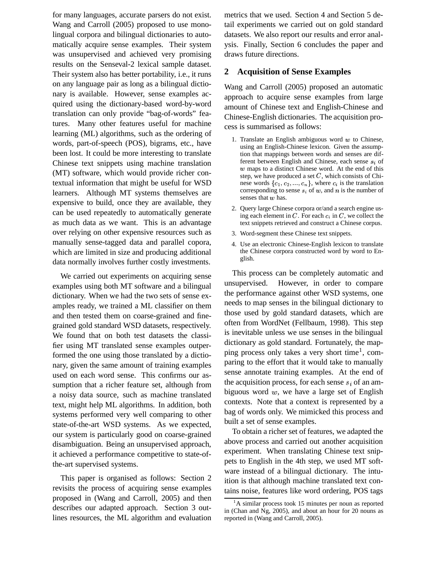for many languages, accurate parsers do not exist. Wang and Carroll (2005) proposed to use monolingual corpora and bilingual dictionaries to automatically acquire sense examples. Their system was unsupervised and achieved very promising results on the Senseval-2 lexical sample dataset. Their system also has better portability, i.e., it runs on any language pair as long as a bilingual dictionary is available. However, sense examples acquired using the dictionary-based word-by-word translation can only provide "bag-of-words" features. Many other features useful for machine learning (ML) algorithms, such as the ordering of words, part-of-speech (POS), bigrams, etc., have been lost. It could be more interesting to translate Chinese text snippets using machine translation (MT) software, which would provide richer contextual information that might be useful for WSD learners. Although MT systems themselves are expensive to build, once they are available, they can be used repeatedly to automatically generate as much data as we want. This is an advantage over relying on other expensive resources such as manually sense-tagged data and parallel copora, which are limited in size and producing additional data normally involves further costly investments.

We carried out experiments on acquiring sense examples using both MT software and a bilingual dictionary. When we had the two sets of sense examples ready, we trained a ML classifier on them and then tested them on coarse-grained and finegrained gold standard WSD datasets, respectively. We found that on both test datasets the classifier using MT translated sense examples outperformed the one using those translated by a dictionary, given the same amount of training examples used on each word sense. This confirms our assumption that a richer feature set, although from a noisy data source, such as machine translated text, might help ML algorithms. In addition, both systems performed very well comparing to other state-of-the-art WSD systems. As we expected, our system is particularly good on coarse-grained disambiguation. Being an unsupervised approach, it achieved a performance competitive to state-ofthe-art supervised systems.

This paper is organised as follows: Section 2 revisits the process of acquiring sense examples proposed in (Wang and Carroll, 2005) and then describes our adapted approach. Section 3 outlines resources, the ML algorithm and evaluation metrics that we used. Section 4 and Section 5 detail experiments we carried out on gold standard datasets. We also report our results and error analysis. Finally, Section 6 concludes the paper and draws future directions.

# **2 Acquisition of Sense Examples**

Wang and Carroll (2005) proposed an automatic approach to acquire sense examples from large amount of Chinese text and English-Chinese and Chinese-English dictionaries. The acquisition process is summarised as follows:

- 1. Translate an English ambiguous word  $w$  to Chinese, using an English-Chinese lexicon. Given the assumption that mappings between words and senses are different between English and Chinese, each sense  $s_i$  of  $w$  maps to a distinct Chinese word. At the end of this step, we have produced a set  $C$ , which consists of Chinese words  $\{c_1, c_2, ..., c_n\}$ , where  $c_i$  is the translation corresponding to sense  $s_i$  of w, and n is the number of senses that  $w$  has.
- 2. Query large Chinese corpora or/and a search engine using each element in C. For each  $c_i$  in C, we collect the text snippets retrieved and construct a Chinese corpus.
- 3. Word-segment these Chinese text snippets.
- 4. Use an electronic Chinese-English lexicon to translate the Chinese corpora constructed word by word to English.

This process can be completely automatic and unsupervised. However, in order to compare the performance against other WSD systems, one needs to map senses in the bilingual dictionary to those used by gold standard datasets, which are often from WordNet (Fellbaum, 1998). This step is inevitable unless we use senses in the bilingual dictionary as gold standard. Fortunately, the mapping process only takes a very short time<sup>1</sup>, comparing to the effort that it would take to manually sense annotate training examples. At the end of the acquisition process, for each sense  $s_i$  of an ambiguous word  $w$ , we have a large set of English contexts. Note that a context is represented by a bag of words only. We mimicked this process and built a set of sense examples.

To obtain a richer set of features, we adapted the above process and carried out another acquisition experiment. When translating Chinese text snippets to English in the 4th step, we used MT software instead of a bilingual dictionary. The intuition is that although machine translated text contains noise, features like word ordering, POS tags

 ${}^{1}$ A similar process took 15 minutes per noun as reported in (Chan and Ng, 2005), and about an hour for 20 nouns as reported in (Wang and Carroll, 2005).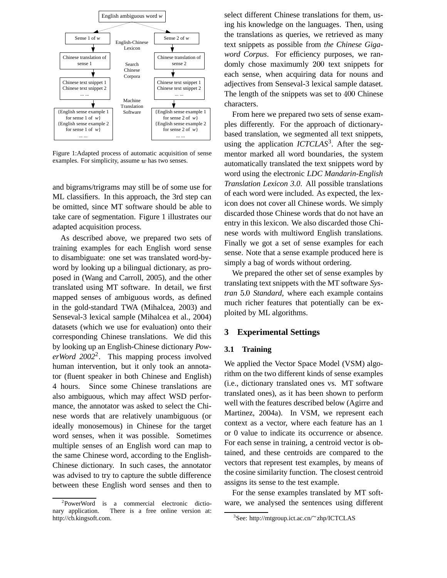

Figure 1:Adapted process of automatic acquisition of sense examples. For simplicity, assume  $w$  has two senses.

and bigrams/trigrams may still be of some use for ML classifiers. In this approach, the 3rd step can be omitted, since MT software should be able to take care of segmentation. Figure 1 illustrates our adapted acquisition process.

As described above, we prepared two sets of training examples for each English word sense to disambiguate: one set was translated word-byword by looking up a bilingual dictionary, as proposed in (Wang and Carroll, 2005), and the other translated using MT software. In detail, we first mapped senses of ambiguous words, as defined in the gold-standard TWA (Mihalcea, 2003) and Senseval-3 lexical sample (Mihalcea et al., 2004) datasets (which we use for evaluation) onto their corresponding Chinese translations. We did this by looking up an English-Chinese dictionary *PowerWord 2002*<sup>2</sup> . This mapping process involved human intervention, but it only took an annotator (fluent speaker in both Chinese and English) 4 hours. Since some Chinese translations are also ambiguous, which may affect WSD performance, the annotator was asked to select the Chinese words that are relatively unambiguous (or ideally monosemous) in Chinese for the target word senses, when it was possible. Sometimes multiple senses of an English word can map to the same Chinese word, according to the English-Chinese dictionary. In such cases, the annotator was advised to try to capture the subtle difference between these English word senses and then to select different Chinese translations for them, using his knowledge on the languages. Then, using the translations as queries, we retrieved as many text snippets as possible from *the Chinese Gigaword Corpus*. For efficiency purposes, we randomly chose maximumly 200 text snippets for each sense, when acquiring data for nouns and adjectives from Senseval-3 lexical sample dataset. The length of the snippets was set to 400 Chinese characters.

From here we prepared two sets of sense examples differently. For the approach of dictionarybased translation, we segmented all text snippets, using the application *ICTCLAS*<sup>3</sup>. After the segmentor marked all word boundaries, the system automatically translated the text snippets word by word using the electronic *LDC Mandarin-English Translation Lexicon 3.0*. All possible translations of each word were included. As expected, the lexicon does not cover all Chinese words. We simply discarded those Chinese words that do not have an entry in this lexicon. We also discarded those Chinese words with multiword English translations. Finally we got a set of sense examples for each sense. Note that a sense example produced here is simply a bag of words without ordering.

We prepared the other set of sense examples by translating text snippets with the MT software *Systran Standard*, where each example contains much richer features that potentially can be exploited by ML algorithms.

#### **3 Experimental Settings**

#### **3.1 Training**

We applied the Vector Space Model (VSM) algorithm on the two different kinds of sense examples (i.e., dictionary translated ones vs. MT software translated ones), as it has been shown to perform well with the features described below (Agirre and Martinez, 2004a). In VSM, we represent each context as a vector, where each feature has an 1 or 0 value to indicate its occurrence or absence. For each sense in training, a centroid vector is obtained, and these centroids are compared to the vectors that represent test examples, by means of the cosine similarity function. The closest centroid assigns its sense to the test example.

For the sense examples translated by MT software, we analysed the sentences using different

<sup>&</sup>lt;sup>2</sup>PowerWord is a commercial electronic dictionary application. There is a free online version at: http://cb.kingsoft.com.

<sup>&</sup>lt;sup>3</sup>See: http://mtgroup.ict.ac.cn/~zhp/ICTCLAS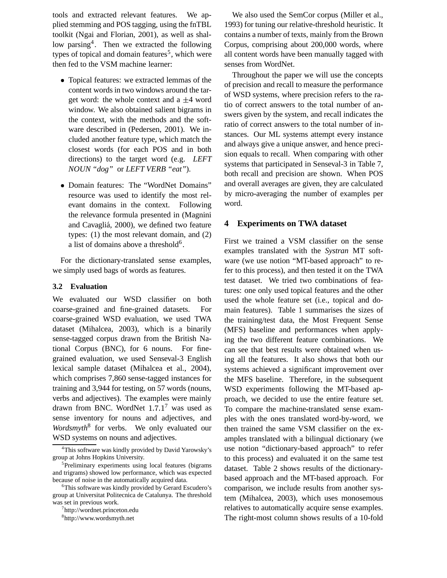tools and extracted relevant features. We applied stemming and POS tagging, using the fnTBL toolkit (Ngai and Florian, 2001), as well as shallow parsing<sup>4</sup>. Then we extracted the following types of topical and domain features<sup>5</sup>, which were then fed to the VSM machine learner:

- Topical features: we extracted lemmas of the content words in two windows around the target word: the whole context and a  $\pm 4$  word window. We also obtained salient bigrams in the context, with the methods and the software described in (Pedersen, 2001). We included another feature type, which match the closest words (for each POS and in both directions) to the target word (e.g. *LEFT NOUN "dog"* or *LEFT VERB "eat"*).
- Domain features: The "WordNet Domains" resource was used to identify the most relevant domains in the context. Following the relevance formula presented in (Magnini and Cavagliá, 2000), we defined two feature types: (1) the most relevant domain, and (2) a list of domains above a threshold<sup>6</sup>.

For the dictionary-translated sense examples, we simply used bags of words as features.

#### **3.2 Evaluation**

We evaluated our WSD classifier on both coarse-grained and fine-grained datasets. For coarse-grained WSD evaluation, we used TWA dataset (Mihalcea, 2003), which is a binarily sense-tagged corpus drawn from the British National Corpus (BNC), for 6 nouns. For finegrained evaluation, we used Senseval-3 English lexical sample dataset (Mihalcea et al., 2004), which comprises 7,860 sense-tagged instances for training and 3,944 for testing, on 57 words (nouns, verbs and adjectives). The examples were mainly drawn from BNC. WordNet  $1.7.1<sup>7</sup>$  was used as sense inventory for nouns and adjectives, and *Wordsmyth*<sup>8</sup> for verbs. We only evaluated our WSD systems on nouns and adjectives.

We also used the SemCor corpus (Miller et al., 1993) for tuning our relative-threshold heuristic. It contains a number of texts, mainly from the Brown Corpus, comprising about 200,000 words, where all content words have been manually tagged with senses from WordNet.

Throughout the paper we will use the concepts of precision and recall to measure the performance of WSD systems, where precision refers to the ratio of correct answers to the total number of answers given by the system, and recall indicates the ratio of correct answers to the total number of instances. Our ML systems attempt every instance and always give a unique answer, and hence precision equals to recall. When comparing with other systems that participated in Senseval-3 in Table 7, both recall and precision are shown. When POS and overall averages are given, they are calculated by micro-averaging the number of examples per word.

## **4 Experiments on TWA dataset**

First we trained a VSM classifier on the sense examples translated with the *Systran* MT software (we use notion "MT-based approach" to refer to this process), and then tested it on the TWA test dataset. We tried two combinations of features: one only used topical features and the other used the whole feature set (i.e., topical and domain features). Table 1 summarises the sizes of the training/test data, the Most Frequent Sense (MFS) baseline and performances when applying the two different feature combinations. We can see that best results were obtained when using all the features. It also shows that both our systems achieved a significant improvement over the MFS baseline. Therefore, in the subsequent WSD experiments following the MT-based approach, we decided to use the entire feature set. To compare the machine-translated sense examples with the ones translated word-by-word, we then trained the same VSM classifier on the examples translated with a bilingual dictionary (we use notion "dictionary-based approach" to refer to this process) and evaluated it on the same test dataset. Table 2 shows results of the dictionarybased approach and the MT-based approach. For comparison, we include results from another system (Mihalcea, 2003), which uses monosemous relatives to automatically acquire sense examples. The right-most column shows results of a 10-fold

<sup>4</sup>This software was kindly provided by David Yarowsky's group at Johns Hopkins University.

<sup>&</sup>lt;sup>5</sup>Preliminary experiments using local features (bigrams and trigrams) showed low performance, which was expected because of noise in the automatically acquired data.

<sup>6</sup>This software was kindly provided by Gerard Escudero's group at Universitat Politecnica de Catalunya. The threshold was set in previous work.

<sup>7</sup> http://wordnet.princeton.edu

<sup>8</sup> http://www.wordsmyth.net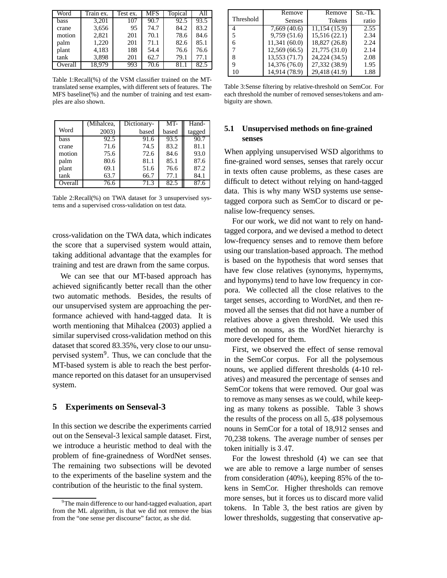| Word    | Train ex. | Test ex. | MFS  | Topical | All  |
|---------|-----------|----------|------|---------|------|
| bass    | 3,201     | 107      | 90.7 | 92.5    | 93.5 |
| crane   | 3,656     | 95       | 74.7 | 84.2    | 83.2 |
| motion  | 2,821     | 201      | 70.1 | 78.6    | 84.6 |
| palm    | 1,220     | 201      | 71.1 | 82.6    | 85.1 |
| plant   | 4,183     | 188      | 54.4 | 76.6    | 76.6 |
| tank    | 3,898     | 201      | 62.7 | 79.1    | 77.1 |
| Overall | 18,979    | 993      | 70.6 | 81.1    | 82.5 |

Table 1:Recall(%) of the VSM classifier trained on the MTtranslated sense examples, with different sets of features. The MFS baseline(%) and the number of training and test examples are also shown.

|         | (Mihalcea, | Dictionary- | MT-   | Hand-  |
|---------|------------|-------------|-------|--------|
| Word    | 2003)      | based       | based | tagged |
| bass    | 92.5       | 91.6        | 93.5  | 90.7   |
| crane   | 71.6       | 74.5        | 83.2  | 81.1   |
| motion  | 75.6       | 72.6        | 84.6  | 93.0   |
| palm    | 80.6       | 81.1        | 85.1  | 87.6   |
| plant   | 69.1       | 51.6        | 76.6  | 87.2   |
| tank    | 63.7       | 66.7        | 77.1  | 84.1   |
| Overall | 76.6       | 71.3        | 82.5  | 87.6   |

Table 2:Recall(%) on TWA dataset for 3 unsupervised systems and a supervised cross-validation on test data.

cross-validation on the TWA data, which indicates the score that a supervised system would attain, taking additional advantage that the examples for training and test are drawn from the same corpus.

We can see that our MT-based approach has achieved significantly better recall than the other two automatic methods. Besides, the results of our unsupervised system are approaching the performance achieved with hand-tagged data. It is worth mentioning that Mihalcea (2003) applied a similar supervised cross-validation method on this dataset that scored 83.35%, very close to our unsupervised system<sup>9</sup>. Thus, we can conclude that the MT-based system is able to reach the best performance reported on this dataset for an unsupervised system.

### **5 Experiments on Senseval-3**

In this section we describe the experiments carried out on the Senseval-3 lexical sample dataset. First, we introduce a heuristic method to deal with the problem of fine-grainedness of WordNet senses. The remaining two subsections will be devoted to the experiments of the baseline system and the contribution of the heuristic to the final system.

|                | Remove        | Remove        | $Sn.-Tk.$ |
|----------------|---------------|---------------|-----------|
| Threshold      | <b>Senses</b> | <b>Tokens</b> | ratio     |
| $\overline{4}$ | 7,669(40.6)   | 11,154(15.9)  | 2.55      |
| 5              | 9,759(51.6)   | 15,516(22.1)  | 2.34      |
| 6              | 11,341 (60.0) | 18,827 (26.8) | 2.24      |
|                | 12,569 (66.5) | 21,775 (31.0) | 2.14      |
| 8              | 13,553 (71.7) | 24,224 (34.5) | 2.08      |
| 9              | 14,376 (76.0) | 27,332 (38.9) | 1.95      |
| 10             | 14,914 (78.9) | 29,418 (41.9) | 1.88      |

Table 3:Sense filtering by relative-threshold on SemCor. For each threshold the number of removed senses/tokens and ambiguity are shown.

# **5.1 Unsupervised methods on fine-grained senses**

When applying unsupervised WSD algorithms to fine-grained word senses, senses that rarely occur in texts often cause problems, as these cases are difficult to detect without relying on hand-tagged data. This is why many WSD systems use sensetagged corpora such as SemCor to discard or penalise low-frequency senses.

For our work, we did not want to rely on handtagged corpora, and we devised a method to detect low-frequency senses and to remove them before using our translation-based approach. The method is based on the hypothesis that word senses that have few close relatives (synonyms, hypernyms, and hyponyms) tend to have low frequency in corpora. We collected all the close relatives to the target senses, according to WordNet, and then removed all the senses that did not have a number of relatives above a given threshold. We used this method on nouns, as the WordNet hierarchy is more developed for them.

First, we observed the effect of sense removal in the SemCor corpus. For all the polysemous nouns, we applied different thresholds (4-10 relatives) and measured the percentage of senses and SemCor tokens that were removed. Our goal was to remove as many senses as we could, while keeping as many tokens as possible. Table 3 shows the results of the process on all  $5,438$  polysemous nouns in SemCor for a total of 18,912 senses and 70,238 tokens. The average number of senses per token initially is  $3.47$ .

For the lowest threshold (4) we can see that we are able to remove a large number of senses from consideration (40%), keeping 85% of the tokens in SemCor. Higher thresholds can remove more senses, but it forces us to discard more valid tokens. In Table 3, the best ratios are given by lower thresholds, suggesting that conservative ap-

<sup>&</sup>lt;sup>9</sup>The main difference to our hand-tagged evaluation, apart from the ML algorithm, is that we did not remove the bias from the "one sense per discourse" factor, as she did.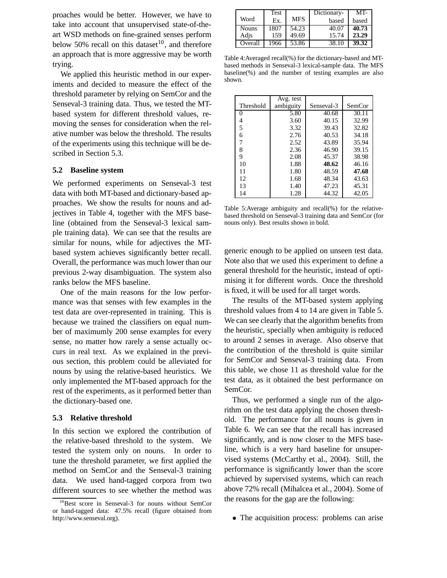proaches would be better. However, we have to take into account that unsupervised state-of-theart WSD methods on fine-grained senses perform below 50% recall on this dataset<sup>10</sup>, and therefore an approach that is more aggressive may be worth trying.

We applied this heuristic method in our experiments and decided to measure the effect of the threshold parameter by relying on SemCor and the Senseval-3 training data. Thus, we tested the MTbased system for different threshold values, removing the senses for consideration when the relative number was below the threshold. The results of the experiments using this technique will be described in Section 5.3.

## **5.2 Baseline system**

We performed experiments on Senseval-3 test data with both MT-based and dictionary-based approaches. We show the results for nouns and adjectives in Table 4, together with the MFS baseline (obtained from the Senseval-3 lexical sample training data). We can see that the results are similar for nouns, while for adjectives the MTbased system achieves significantly better recall. Overall, the performance was much lower than our previous 2-way disambiguation. The system also ranks below the MFS baseline.

One of the main reasons for the low performance was that senses with few examples in the test data are over-represented in training. This is because we trained the classifiers on equal number of maximumly 200 sense examples for every sense, no matter how rarely a sense actually occurs in real text. As we explained in the previous section, this problem could be alleviated for nouns by using the relative-based heuristics. We only implemented the MT-based approach for the rest of the experiments, as it performed better than the dictionary-based one.

#### **5.3 Relative threshold**

In this section we explored the contribution of the relative-based threshold to the system. We tested the system only on nouns. In order to tune the threshold parameter, we first applied the method on SemCor and the Senseval-3 training data. We used hand-tagged corpora from two different sources to see whether the method was

|              | Test |            | Dictionary- | MT-   |
|--------------|------|------------|-------------|-------|
| Word         | Ex.  | <b>MFS</b> | based       | based |
| <b>Nouns</b> | 1807 | 54.23      | 40.07       | 40.73 |
| Adis         | 159  | 49.69      | 15.74       | 23.29 |
| Overall      | 1966 | 53.86      | 38.10       | 39.32 |

Table 4:Averaged recall(%) for the dictionary-based and MTbased methods in Senseval-3 lexical-sample data. The MFS baseline(%) and the number of testing examples are also shown.

|           | Avg. test |            |        |
|-----------|-----------|------------|--------|
| Threshold | ambiguity | Senseval-3 | SemCor |
|           | 5.80      | 40.68      | 30.11  |
| 4         | 3.60      | 40.15      | 32.99  |
| 5         | 3.32      | 39.43      | 32.82  |
| 6         | 2.76      | 40.53      | 34.18  |
| 7         | 2.52      | 43.89      | 35.94  |
| 8         | 2.36      | 46.90      | 39.15  |
| 9         | 2.08      | 45.37      | 38.98  |
| 10        | 1.88      | 48.62      | 46.16  |
| 11        | 1.80      | 48.59      | 47.68  |
| 12        | 1.68      | 48.34      | 43.63  |
| 13        | 1.40      | 47.23      | 45.31  |
| 14        | 1.28      | 44.32      | 42.05  |

Table 5:Average ambiguity and recall(%) for the relativebased threshold on Senseval-3 training data and SemCor (for nouns only). Best results shown in bold.

generic enough to be applied on unseen test data. Note also that we used this experiment to define a general threshold for the heuristic, instead of optimising it for different words. Once the threshold is fixed, it will be used for all target words.

The results of the MT-based system applying threshold values from 4 to 14 are given in Table 5. We can see clearly that the algorithm benefits from the heuristic, specially when ambiguity is reduced to around 2 senses in average. Also observe that the contribution of the threshold is quite similar for SemCor and Senseval-3 training data. From this table, we chose 11 as threshold value for the test data, as it obtained the best performance on SemCor.

Thus, we performed a single run of the algorithm on the test data applying the chosen threshold. The performance for all nouns is given in Table 6. We can see that the recall has increased significantly, and is now closer to the MFS baseline, which is a very hard baseline for unsupervised systems (McCarthy et al., 2004). Still, the performance is significantly lower than the score achieved by supervised systems, which can reach above 72% recall (Mihalcea et al., 2004). Some of the reasons for the gap are the following:

The acquisition process: problems can arise

<sup>&</sup>lt;sup>10</sup>Best score in Senseval-3 for nouns without SemCor or hand-tagged data: 47.5% recall (figure obtained from http://www.senseval.org).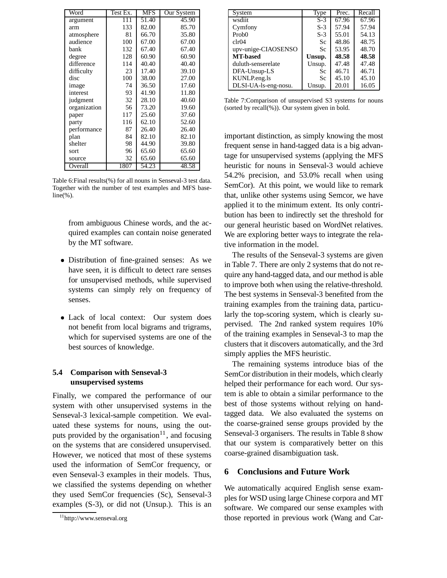| Word         | Test Ex. | <b>MFS</b>         | Our System |
|--------------|----------|--------------------|------------|
| argument     | 111      | 51.40              | 45.90      |
| arm          | 133      | 82.00              | 85.70      |
| atmosphere   | 81       | 66.70              | 35.80      |
| audience     | 100      | 67.00              | 67.00      |
| bank         | 132      | 67.40              | 67.40      |
| degree       | 128      | 60.90              | 60.90      |
| difference   | 114      | 40.40              | 40.40      |
| difficulty   | 23       | 17.40              | 39.10      |
| disc         | 100      | 38.00              | 27.00      |
| image        | 74       | 36.50              | 17.60      |
| interest     | 93       | 41.90              | 11.80      |
| judgment     | 32       | 28.10              | 40.60      |
| organization | 56       | 73.20              | 19.60      |
| paper        | 117      | 25.60              | 37.60      |
| party        | 116      | 62.10              | 52.60      |
| performance  | 87       | 26.40              | 26.40      |
| plan         | 84       | 82.10              | 82.10      |
| shelter      | 98       | 44.90              | 39.80      |
| sort         | 96       | 65.60              | 65.60      |
| source       | 32       | 65.60              | 65.60      |
| Overall      | 1807     | $\overline{54.23}$ | 48.58      |

Table 6:Final results(%) for all nouns in Senseval-3 test data. Together with the number of test examples and MFS base $line(\%).$ 

from ambiguous Chinese words, and the acquired examples can contain noise generated by the MT software.

- Distribution of fine-grained senses: As we have seen, it is difficult to detect rare senses for unsupervised methods, while supervised systems can simply rely on frequency of senses.
- Lack of local context: Our system does not benefit from local bigrams and trigrams, which for supervised systems are one of the best sources of knowledge.

# **5.4 Comparison with Senseval-3 unsupervised systems**

Finally, we compared the performance of our system with other unsupervised systems in the Senseval-3 lexical-sample competition. We evaluated these systems for nouns, using the outputs provided by the organisation $11$ , and focusing on the systems that are considered unsupervised. However, we noticed that most of these systems used the information of SemCor frequency, or even Senseval-3 examples in their models. Thus, we classified the systems depending on whether they used SemCor frequencies (Sc), Senseval-3 examples (S-3), or did not (Unsup.). This is an

| System               | <b>Type</b> | Prec. | Recall |
|----------------------|-------------|-------|--------|
| wsdiit               | $S-3$       | 67.96 | 67.96  |
| Cymfony              | $S-3$       | 57.94 | 57.94  |
| Prob()               | $S-3$       | 55.01 | 54.13  |
| clr04                | Sc.         | 48.86 | 48.75  |
| upv-unige-CIAOSENSO  | Sc          | 53.95 | 48.70  |
| <b>MT-based</b>      | Unsup.      | 48.58 | 48.58  |
| duluth-senserelate   | Unsup.      | 47.48 | 47.48  |
| DFA-Unsup-LS         | Sc          | 46.71 | 46.71  |
| KUNLP.eng.ls         | Sc          | 45.10 | 45.10  |
| DLSI-UA-ls-eng-nosu. | Unsup.      | 20.01 | 16.05  |

Table 7:Comparison of unsupervised S3 systems for nouns (sorted by recall(%)). Our system given in bold.

important distinction, as simply knowing the most frequent sense in hand-tagged data is a big advantage for unsupervised systems (applying the MFS heuristic for nouns in Senseval-3 would achieve 54.2% precision, and 53.0% recall when using SemCor). At this point, we would like to remark that, unlike other systems using Semcor, we have applied it to the minimum extent. Its only contribution has been to indirectly set the threshold for our general heuristic based on WordNet relatives. We are exploring better ways to integrate the relative information in the model.

The results of the Senseval-3 systems are given in Table 7. There are only 2 systems that do not require any hand-tagged data, and our method is able to improve both when using the relative-threshold. The best systems in Senseval-3 benefited from the training examples from the training data, particularly the top-scoring system, which is clearly supervised. The 2nd ranked system requires 10% of the training examples in Senseval-3 to map the clusters that it discovers automatically, and the 3rd simply applies the MFS heuristic.

The remaining systems introduce bias of the SemCor distribution in their models, which clearly helped their performance for each word. Our system is able to obtain a similar performance to the best of those systems without relying on handtagged data. We also evaluated the systems on the coarse-grained sense groups provided by the Senseval-3 organisers. The results in Table 8 show that our system is comparatively better on this coarse-grained disambiguation task.

## **6 Conclusions and Future Work**

We automatically acquired English sense examples for WSD using large Chinese corpora and MT software. We compared our sense examples with those reported in previous work (Wang and Car-

<sup>11</sup>http://www.senseval.org